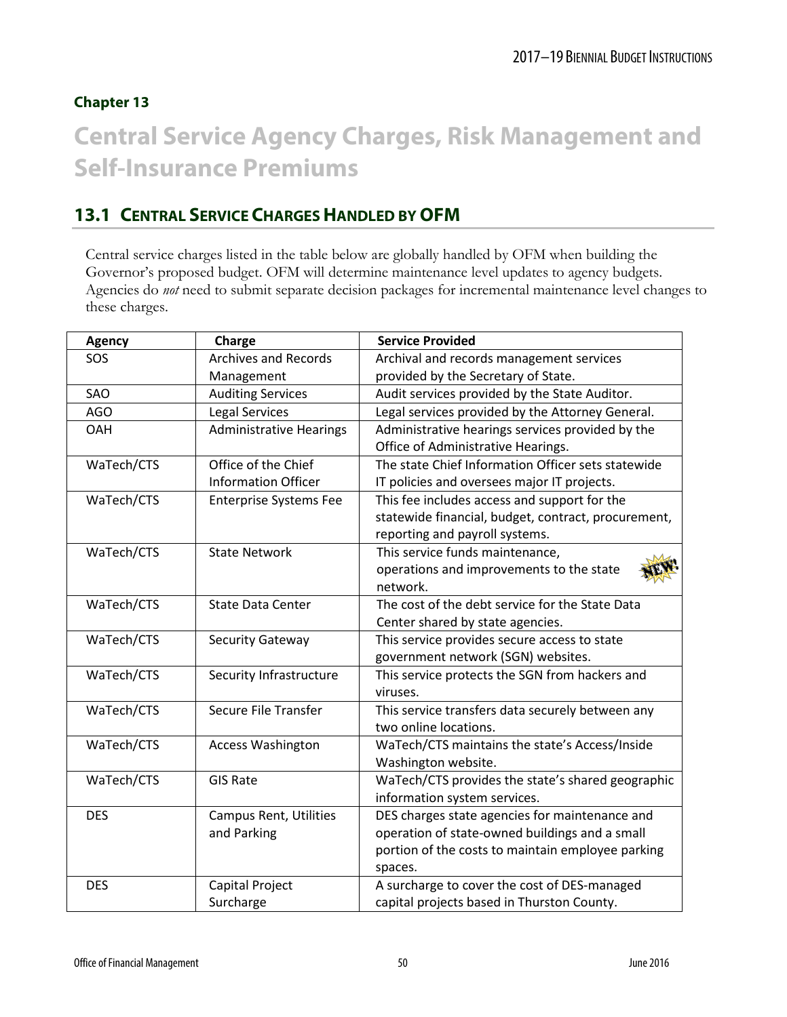### **Chapter 13**

# **Central Service Agency Charges, Risk Management and Self-Insurance Premiums**

# **13.1 CENTRAL SERVICE CHARGES HANDLED BY OFM**

Central service charges listed in the table below are globally handled by OFM when building the Governor's proposed budget. OFM will determine maintenance level updates to agency budgets. Agencies do *not* need to submit separate decision packages for incremental maintenance level changes to these charges.

| Agency     | Charge                         | <b>Service Provided</b>                             |
|------------|--------------------------------|-----------------------------------------------------|
| SOS        | <b>Archives and Records</b>    | Archival and records management services            |
|            | Management                     | provided by the Secretary of State.                 |
| SAO        | <b>Auditing Services</b>       | Audit services provided by the State Auditor.       |
| AGO        | <b>Legal Services</b>          | Legal services provided by the Attorney General.    |
| OAH        | <b>Administrative Hearings</b> | Administrative hearings services provided by the    |
|            |                                | Office of Administrative Hearings.                  |
| WaTech/CTS | Office of the Chief            | The state Chief Information Officer sets statewide  |
|            | <b>Information Officer</b>     | IT policies and oversees major IT projects.         |
| WaTech/CTS | <b>Enterprise Systems Fee</b>  | This fee includes access and support for the        |
|            |                                | statewide financial, budget, contract, procurement, |
|            |                                | reporting and payroll systems.                      |
| WaTech/CTS | <b>State Network</b>           | This service funds maintenance,                     |
|            |                                | operations and improvements to the state            |
|            |                                | network.                                            |
| WaTech/CTS | <b>State Data Center</b>       | The cost of the debt service for the State Data     |
|            |                                | Center shared by state agencies.                    |
| WaTech/CTS | Security Gateway               | This service provides secure access to state        |
|            |                                | government network (SGN) websites.                  |
| WaTech/CTS | Security Infrastructure        | This service protects the SGN from hackers and      |
|            |                                | viruses.                                            |
| WaTech/CTS | Secure File Transfer           | This service transfers data securely between any    |
|            |                                | two online locations.                               |
| WaTech/CTS | <b>Access Washington</b>       | WaTech/CTS maintains the state's Access/Inside      |
|            |                                | Washington website.                                 |
| WaTech/CTS | <b>GIS Rate</b>                | WaTech/CTS provides the state's shared geographic   |
|            |                                | information system services.                        |
| <b>DES</b> | <b>Campus Rent, Utilities</b>  | DES charges state agencies for maintenance and      |
|            | and Parking                    | operation of state-owned buildings and a small      |
|            |                                | portion of the costs to maintain employee parking   |
|            |                                | spaces.                                             |
| <b>DES</b> | Capital Project                | A surcharge to cover the cost of DES-managed        |
|            | Surcharge                      | capital projects based in Thurston County.          |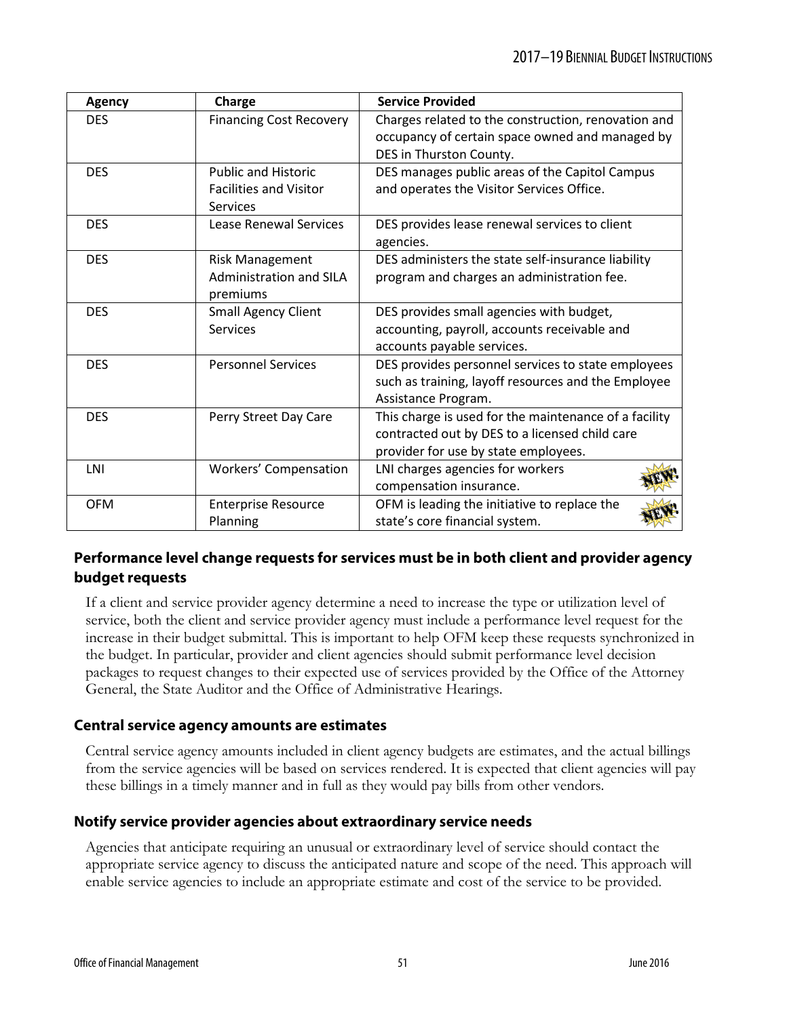| <b>Agency</b> | Charge                         | <b>Service Provided</b>                                                                                |
|---------------|--------------------------------|--------------------------------------------------------------------------------------------------------|
| <b>DES</b>    | <b>Financing Cost Recovery</b> | Charges related to the construction, renovation and<br>occupancy of certain space owned and managed by |
|               |                                | DES in Thurston County.                                                                                |
| <b>DES</b>    | <b>Public and Historic</b>     | DES manages public areas of the Capitol Campus                                                         |
|               | <b>Facilities and Visitor</b>  | and operates the Visitor Services Office.                                                              |
|               | <b>Services</b>                |                                                                                                        |
| <b>DES</b>    | Lease Renewal Services         | DES provides lease renewal services to client                                                          |
|               |                                | agencies.                                                                                              |
| <b>DES</b>    | <b>Risk Management</b>         | DES administers the state self-insurance liability                                                     |
|               | <b>Administration and SILA</b> | program and charges an administration fee.                                                             |
|               | premiums                       |                                                                                                        |
| <b>DES</b>    | <b>Small Agency Client</b>     | DES provides small agencies with budget,                                                               |
|               | <b>Services</b>                | accounting, payroll, accounts receivable and                                                           |
|               |                                | accounts payable services.                                                                             |
| <b>DES</b>    | <b>Personnel Services</b>      | DES provides personnel services to state employees                                                     |
|               |                                | such as training, layoff resources and the Employee                                                    |
|               |                                | Assistance Program.                                                                                    |
| <b>DES</b>    | Perry Street Day Care          | This charge is used for the maintenance of a facility                                                  |
|               |                                | contracted out by DES to a licensed child care                                                         |
|               |                                | provider for use by state employees.                                                                   |
| LNI           | <b>Workers' Compensation</b>   | LNI charges agencies for workers                                                                       |
|               |                                | compensation insurance.                                                                                |
| <b>OFM</b>    | <b>Enterprise Resource</b>     | OFM is leading the initiative to replace the                                                           |
|               | Planning                       | state's core financial system.                                                                         |

### **Performance level change requests for services must be in both client and provider agency budget requests**

If a client and service provider agency determine a need to increase the type or utilization level of service, both the client and service provider agency must include a performance level request for the increase in their budget submittal. This is important to help OFM keep these requests synchronized in the budget. In particular, provider and client agencies should submit performance level decision packages to request changes to their expected use of services provided by the Office of the Attorney General, the State Auditor and the Office of Administrative Hearings.

### **Central service agency amounts are estimates**

Central service agency amounts included in client agency budgets are estimates, and the actual billings from the service agencies will be based on services rendered. It is expected that client agencies will pay these billings in a timely manner and in full as they would pay bills from other vendors.

### **Notify service provider agencies about extraordinary service needs**

Agencies that anticipate requiring an unusual or extraordinary level of service should contact the appropriate service agency to discuss the anticipated nature and scope of the need. This approach will enable service agencies to include an appropriate estimate and cost of the service to be provided.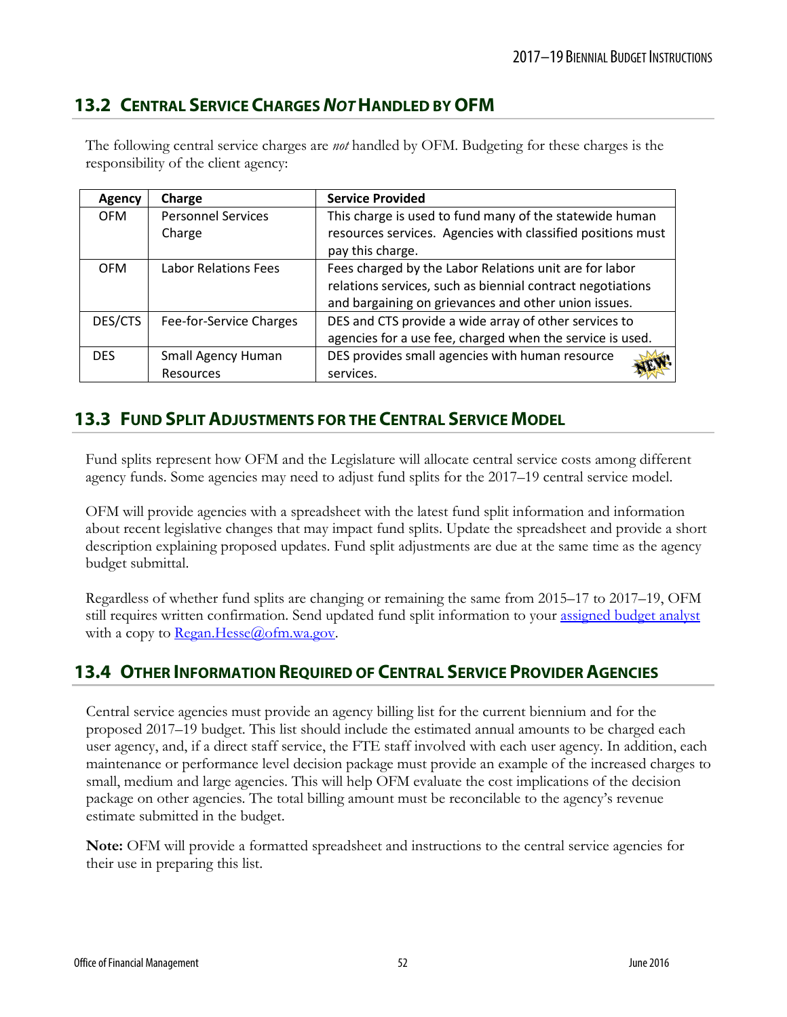# **13.2 CENTRAL SERVICE CHARGES** *NOT* **HANDLED BY OFM**

The following central service charges are *not* handled by OFM. Budgeting for these charges is the responsibility of the client agency:

| Agency     | Charge                    | <b>Service Provided</b>                                     |
|------------|---------------------------|-------------------------------------------------------------|
| <b>OFM</b> | <b>Personnel Services</b> | This charge is used to fund many of the statewide human     |
|            | Charge                    | resources services. Agencies with classified positions must |
|            |                           | pay this charge.                                            |
| <b>OFM</b> | Labor Relations Fees      | Fees charged by the Labor Relations unit are for labor      |
|            |                           | relations services, such as biennial contract negotiations  |
|            |                           | and bargaining on grievances and other union issues.        |
| DES/CTS    | Fee-for-Service Charges   | DES and CTS provide a wide array of other services to       |
|            |                           | agencies for a use fee, charged when the service is used.   |
| <b>DES</b> | Small Agency Human        | DES provides small agencies with human resource             |
|            | Resources                 | services.                                                   |

# **13.3 FUND SPLIT ADJUSTMENTS FOR THE CENTRAL SERVICE MODEL**

Fund splits represent how OFM and the Legislature will allocate central service costs among different agency funds. Some agencies may need to adjust fund splits for the 2017–19 central service model.

OFM will provide agencies with a spreadsheet with the latest fund split information and information about recent legislative changes that may impact fund splits. Update the spreadsheet and provide a short description explaining proposed updates. Fund split adjustments are due at the same time as the agency budget submittal.

Regardless of whether fund splits are changing or remaining the same from 2015–17 to 2017–19, OFM still requires written confirmation. Send updated fund split information to your [assigned budget analyst](mailto:assigned%20budget%20analyst) with a copy to  $\text{Regan.}$  Hesse $\textcircled{a}$  of m.wa.gov.

# **13.4 OTHER INFORMATION REQUIRED OF CENTRAL SERVICE PROVIDER AGENCIES**

Central service agencies must provide an agency billing list for the current biennium and for the proposed 2017–19 budget. This list should include the estimated annual amounts to be charged each user agency, and, if a direct staff service, the FTE staff involved with each user agency. In addition, each maintenance or performance level decision package must provide an example of the increased charges to small, medium and large agencies. This will help OFM evaluate the cost implications of the decision package on other agencies. The total billing amount must be reconcilable to the agency's revenue estimate submitted in the budget.

**Note:** OFM will provide a formatted spreadsheet and instructions to the central service agencies for their use in preparing this list.